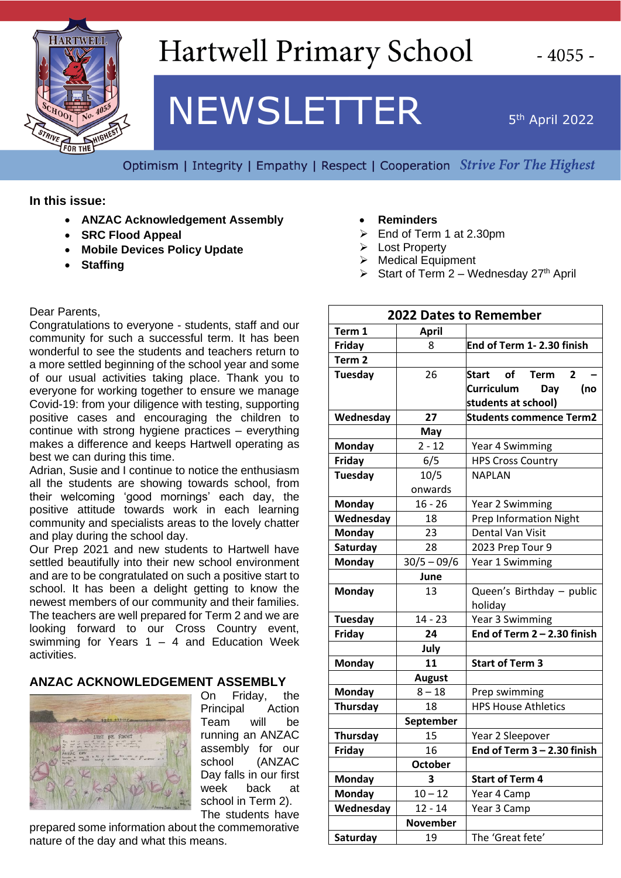

### **Hartwell Primary School**

# **NEWSLETTER**

5<sup>th</sup> April 2022

Optimism | Integrity | Empathy | Respect | Cooperation Strive For The Highest

**In this issue:** 

- **ANZAC Acknowledgement Assembly**
- **SRC Flood Appeal**
- **Mobile Devices Policy Update**
- **Staffing**

Dear Parents,

Congratulations to everyone - students, staff and our community for such a successful term. It has been wonderful to see the students and teachers return to a more settled beginning of the school year and some of our usual activities taking place. Thank you to everyone for working together to ensure we manage Covid-19: from your diligence with testing, supporting positive cases and encouraging the children to continue with strong hygiene practices – everything makes a difference and keeps Hartwell operating as best we can during this time.

Adrian, Susie and I continue to notice the enthusiasm all the students are showing towards school, from their welcoming 'good mornings' each day, the positive attitude towards work in each learning community and specialists areas to the lovely chatter and play during the school day.

Our Prep 2021 and new students to Hartwell have settled beautifully into their new school environment and are to be congratulated on such a positive start to school. It has been a delight getting to know the newest members of our community and their families. The teachers are well prepared for Term 2 and we are looking forward to our Cross Country event, swimming for Years  $1 - 4$  and Education Week activities.

#### **ANZAC ACKNOWLEDGEMENT ASSEMBLY**



On Friday, the Principal Action Team will be running an ANZAC assembly for our school (ANZAC Day falls in our first week back at school in Term 2). The students have

prepared some information about the commemorative nature of the day and what this means.

- **Reminders**
- ➢ End of Term 1 at 2.30pm
- ➢ Lost Property
- ➢ Medical Equipment
- $\triangleright$  Start of Term 2 Wednesday 27<sup>th</sup> April

| <b>2022 Dates to Remember</b> |                 |                                |
|-------------------------------|-----------------|--------------------------------|
| Term 1                        | <b>April</b>    |                                |
| Friday                        | 8               | End of Term 1-2.30 finish      |
| Term <sub>2</sub>             |                 |                                |
| <b>Tuesday</b>                | 26              | Start of Term<br>$\mathbf{2}$  |
|                               |                 | Curriculum<br>Day<br>(no       |
|                               |                 | students at school)            |
| Wednesday                     | 27              | <b>Students commence Term2</b> |
|                               | May             |                                |
| <b>Monday</b>                 | $2 - 12$        | Year 4 Swimming                |
| Friday                        | 6/5             | <b>HPS Cross Country</b>       |
| Tuesday                       | 10/5            | <b>NAPLAN</b>                  |
|                               | onwards         |                                |
| <b>Monday</b>                 | $16 - 26$       | Year 2 Swimming                |
| Wednesday                     | 18              | <b>Prep Information Night</b>  |
| <b>Monday</b>                 | 23              | Dental Van Visit               |
| Saturday                      | 28              | 2023 Prep Tour 9               |
| <b>Monday</b>                 | $30/5 - 09/6$   | Year 1 Swimming                |
|                               | June            |                                |
| <b>Monday</b>                 | 13              | Queen's Birthday - public      |
|                               |                 | holiday                        |
| <b>Tuesday</b>                | $14 - 23$       | Year 3 Swimming                |
| Friday                        | 24              | End of Term $2 - 2.30$ finish  |
|                               | July            |                                |
| <b>Monday</b>                 | 11              | <b>Start of Term 3</b>         |
|                               | <b>August</b>   |                                |
| <b>Monday</b>                 | $8 - 18$        | Prep swimming                  |
| Thursday                      | 18              | <b>HPS House Athletics</b>     |
|                               | September       |                                |
| Thursday                      | 15              | Year 2 Sleepover               |
| Friday                        | 16              | End of Term $3 - 2.30$ finish  |
|                               | <b>October</b>  |                                |
| <b>Monday</b>                 | 3               | <b>Start of Term 4</b>         |
| Monday                        | $10 - 12$       | Year 4 Camp                    |
| Wednesday                     | $12 - 14$       | Year 3 Camp                    |
|                               | <b>November</b> |                                |
| Saturday                      | 19              | The 'Great fete'               |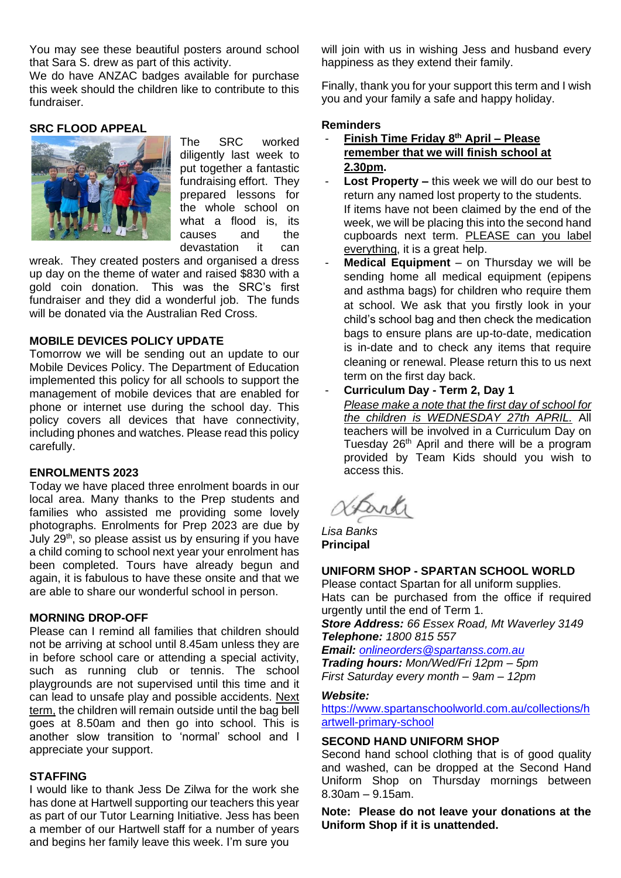You may see these beautiful posters around school that Sara S. drew as part of this activity.

We do have ANZAC badges available for purchase this week should the children like to contribute to this fundraiser.

#### **SRC FLOOD APPEAL**



The SRC worked diligently last week to put together a fantastic fundraising effort. They prepared lessons for the whole school on what a flood is, its causes and the<br>devastation it can devastation it can

wreak. They created posters and organised a dress up day on the theme of water and raised \$830 with a gold coin donation. This was the SRC's first fundraiser and they did a wonderful job. The funds will be donated via the Australian Red Cross.

#### **MOBILE DEVICES POLICY UPDATE**

Tomorrow we will be sending out an update to our Mobile Devices Policy. The Department of Education implemented this policy for all schools to support the management of mobile devices that are enabled for phone or internet use during the school day. This policy covers all devices that have connectivity, including phones and watches. Please read this policy carefully.

#### **ENROLMENTS 2023**

Today we have placed three enrolment boards in our local area. Many thanks to the Prep students and families who assisted me providing some lovely photographs. Enrolments for Prep 2023 are due by July  $29<sup>th</sup>$ , so please assist us by ensuring if you have a child coming to school next year your enrolment has been completed. Tours have already begun and again, it is fabulous to have these onsite and that we are able to share our wonderful school in person.

#### **MORNING DROP-OFF**

Please can I remind all families that children should not be arriving at school until 8.45am unless they are in before school care or attending a special activity, such as running club or tennis. The school playgrounds are not supervised until this time and it can lead to unsafe play and possible accidents. Next term, the children will remain outside until the bag bell goes at 8.50am and then go into school. This is another slow transition to 'normal' school and I appreciate your support.

#### **STAFFING**

I would like to thank Jess De Zilwa for the work she has done at Hartwell supporting our teachers this year as part of our Tutor Learning Initiative. Jess has been a member of our Hartwell staff for a number of years and begins her family leave this week. I'm sure you

will join with us in wishing Jess and husband every happiness as they extend their family.

Finally, thank you for your support this term and I wish you and your family a safe and happy holiday.

#### **Reminders**

- **Finish Time Friday 8 th April – Please remember that we will finish school at 2.30pm.**
- Lost Property this week we will do our best to return any named lost property to the students. If items have not been claimed by the end of the week, we will be placing this into the second hand cupboards next term. PLEASE can you label everything, it is a great help.
- **Medical Equipment** on Thursday we will be sending home all medical equipment (epipens and asthma bags) for children who require them at school. We ask that you firstly look in your child's school bag and then check the medication bags to ensure plans are up-to-date, medication is in-date and to check any items that require cleaning or renewal. Please return this to us next term on the first day back.

#### - **Curriculum Day - Term 2, Day 1**

*Please make a note that the first day of school for the children is WEDNESDAY 27th APRIL.* All teachers will be involved in a Curriculum Day on Tuesday 26<sup>th</sup> April and there will be a program provided by Team Kids should you wish to access this.

Dand

*Lisa Banks* **Principal**

#### **UNIFORM SHOP - SPARTAN SCHOOL WORLD**

Please contact Spartan for all uniform supplies. Hats can be purchased from the office if required urgently until the end of Term 1.

*Store Address: 66 Essex Road, Mt Waverley 3149 Telephone: 1800 815 557*

*Email: [onlineorders@spartanss.com.au](mailto:onlineorders@spartanss.com.au) Trading hours: Mon/Wed/Fri 12pm – 5pm First Saturday every month – 9am – 12pm*

#### *Website:*

[https://www.spartanschoolworld.com.au/collections/h](https://www.spartanschoolworld.com.au/collections/hartwell-primary-school) [artwell-primary-school](https://www.spartanschoolworld.com.au/collections/hartwell-primary-school)

#### **SECOND HAND UNIFORM SHOP**

Second hand school clothing that is of good quality and washed, can be dropped at the Second Hand Uniform Shop on Thursday mornings between 8.30am – 9.15am.

**Note: Please do not leave your donations at the Uniform Shop if it is unattended.**